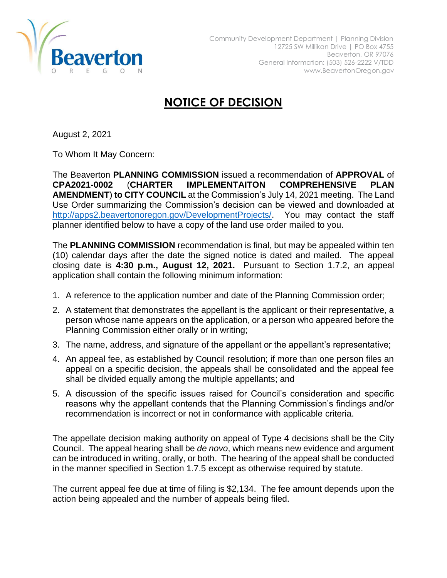

## **NOTICE OF DECISION**

August 2, 2021

To Whom It May Concern:

The Beaverton **PLANNING COMMISSION** issued a recommendation of **APPROVAL** of **CPA2021-0002** (**CHARTER IMPLEMENTAITON COMPREHENSIVE PLAN AMENDMENT**) **to CITY COUNCIL** at the Commission's July 14, 2021 meeting. The Land Use Order summarizing the Commission's decision can be viewed and downloaded at [http://apps2.beavertonoregon.gov/DevelopmentProjects/.](http://apps2.beavertonoregon.gov/DevelopmentProjects/) You may contact the staff planner identified below to have a copy of the land use order mailed to you.

The **PLANNING COMMISSION** recommendation is final, but may be appealed within ten (10) calendar days after the date the signed notice is dated and mailed. The appeal closing date is **4:30 p.m., August 12, 2021.** Pursuant to Section 1.7.2, an appeal application shall contain the following minimum information:

- 1. A reference to the application number and date of the Planning Commission order;
- 2. A statement that demonstrates the appellant is the applicant or their representative, a person whose name appears on the application, or a person who appeared before the Planning Commission either orally or in writing;
- 3. The name, address, and signature of the appellant or the appellant's representative;
- 4. An appeal fee, as established by Council resolution; if more than one person files an appeal on a specific decision, the appeals shall be consolidated and the appeal fee shall be divided equally among the multiple appellants; and
- 5. A discussion of the specific issues raised for Council's consideration and specific reasons why the appellant contends that the Planning Commission's findings and/or recommendation is incorrect or not in conformance with applicable criteria.

The appellate decision making authority on appeal of Type 4 decisions shall be the City Council. The appeal hearing shall be *de novo*, which means new evidence and argument can be introduced in writing, orally, or both. The hearing of the appeal shall be conducted in the manner specified in Section 1.7.5 except as otherwise required by statute.

The current appeal fee due at time of filing is \$2,134. The fee amount depends upon the action being appealed and the number of appeals being filed.